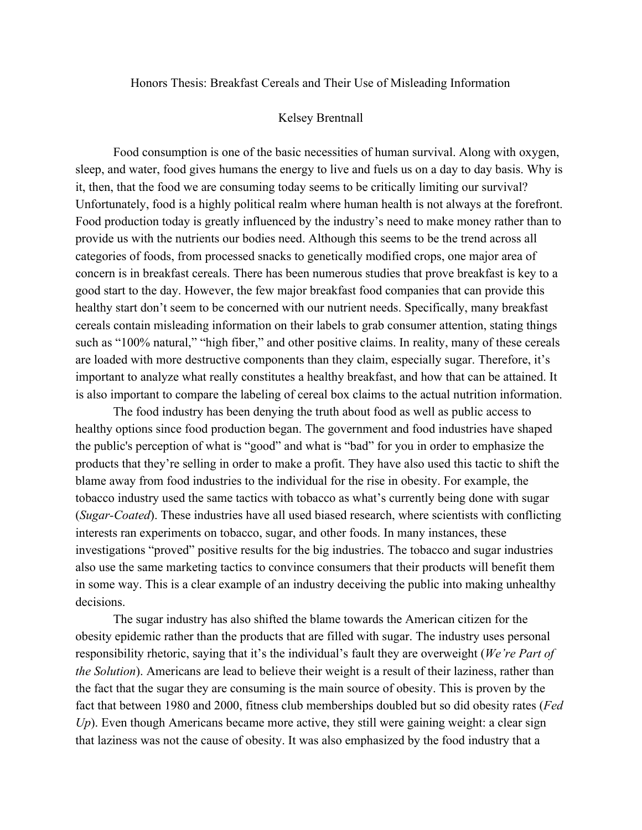Honors Thesis: Breakfast Cereals and Their Use of Misleading Information

## Kelsey Brentnall

Food consumption is one of the basic necessities of human survival. Along with oxygen, sleep, and water, food gives humans the energy to live and fuels us on a day to day basis. Why is it, then, that the food we are consuming today seems to be critically limiting our survival? Unfortunately, food is a highly political realm where human health is not always at the forefront. Food production today is greatly influenced by the industry's need to make money rather than to provide us with the nutrients our bodies need. Although this seems to be the trend across all categories of foods, from processed snacks to genetically modified crops, one major area of concern is in breakfast cereals. There has been numerous studies that prove breakfast is key to a good start to the day. However, the few major breakfast food companies that can provide this healthy start don't seem to be concerned with our nutrient needs. Specifically, many breakfast cereals contain misleading information on their labels to grab consumer attention, stating things such as "100% natural," "high fiber," and other positive claims. In reality, many of these cereals are loaded with more destructive components than they claim, especially sugar. Therefore, it's important to analyze what really constitutes a healthy breakfast, and how that can be attained. It is also important to compare the labeling of cereal box claims to the actual nutrition information.

The food industry has been denying the truth about food as well as public access to healthy options since food production began. The government and food industries have shaped the public's perception of what is "good" and what is "bad" for you in order to emphasize the products that they're selling in order to make a profit. They have also used this tactic to shift the blame away from food industries to the individual for the rise in obesity. For example, the tobacco industry used the same tactics with tobacco as what's currently being done with sugar (*Sugar-Coated*). These industries have all used biased research, where scientists with conflicting interests ran experiments on tobacco, sugar, and other foods. In many instances, these investigations "proved" positive results for the big industries. The tobacco and sugar industries also use the same marketing tactics to convince consumers that their products will benefit them in some way. This is a clear example of an industry deceiving the public into making unhealthy decisions.

The sugar industry has also shifted the blame towards the American citizen for the obesity epidemic rather than the products that are filled with sugar. The industry uses personal responsibility rhetoric, saying that it's the individual's fault they are overweight (*We're Part of the Solution*). Americans are lead to believe their weight is a result of their laziness, rather than the fact that the sugar they are consuming is the main source of obesity. This is proven by the fact that between 1980 and 2000, fitness club memberships doubled but so did obesity rates (*Fed Up*). Even though Americans became more active, they still were gaining weight: a clear sign that laziness was not the cause of obesity. It was also emphasized by the food industry that a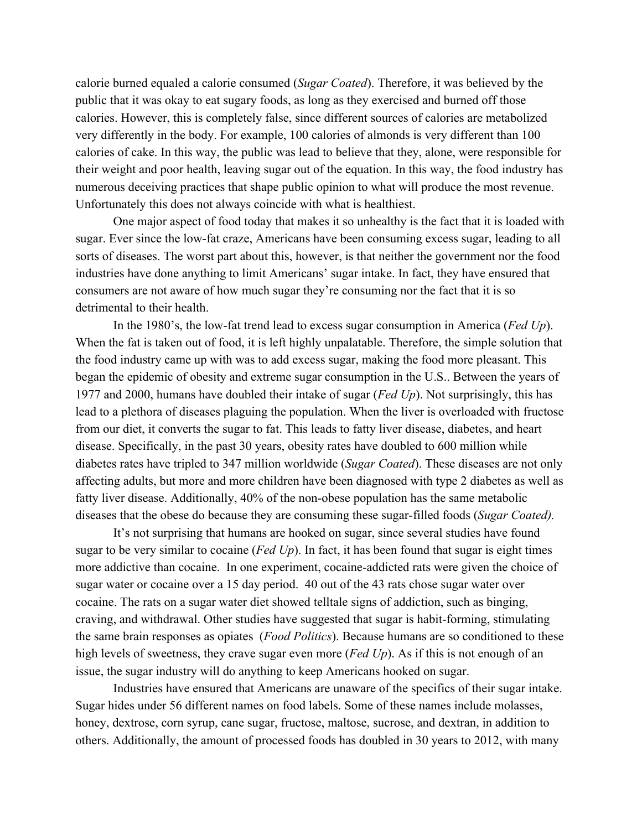calorie burned equaled a calorie consumed (*Sugar Coated*). Therefore, it was believed by the public that it was okay to eat sugary foods, as long as they exercised and burned off those calories. However, this is completely false, since different sources of calories are metabolized very differently in the body. For example, 100 calories of almonds is very different than 100 calories of cake. In this way, the public was lead to believe that they, alone, were responsible for their weight and poor health, leaving sugar out of the equation. In this way, the food industry has numerous deceiving practices that shape public opinion to what will produce the most revenue. Unfortunately this does not always coincide with what is healthiest.

One major aspect of food today that makes it so unhealthy is the fact that it is loaded with sugar. Ever since the low-fat craze, Americans have been consuming excess sugar, leading to all sorts of diseases. The worst part about this, however, is that neither the government nor the food industries have done anything to limit Americans' sugar intake. In fact, they have ensured that consumers are not aware of how much sugar they're consuming nor the fact that it is so detrimental to their health.

In the 1980's, the low-fat trend lead to excess sugar consumption in America (*Fed Up*). When the fat is taken out of food, it is left highly unpalatable. Therefore, the simple solution that the food industry came up with was to add excess sugar, making the food more pleasant. This began the epidemic of obesity and extreme sugar consumption in the U.S.. Between the years of 1977 and 2000, humans have doubled their intake of sugar (*Fed Up*). Not surprisingly, this has lead to a plethora of diseases plaguing the population. When the liver is overloaded with fructose from our diet, it converts the sugar to fat. This leads to fatty liver disease, diabetes, and heart disease. Specifically, in the past 30 years, obesity rates have doubled to 600 million while diabetes rates have tripled to 347 million worldwide (*Sugar Coated*). These diseases are not only affecting adults, but more and more children have been diagnosed with type 2 diabetes as well as fatty liver disease. Additionally, 40% of the non-obese population has the same metabolic diseases that the obese do because they are consuming these sugar-filled foods (*Sugar Coated).*

It's not surprising that humans are hooked on sugar, since several studies have found sugar to be very similar to cocaine (*Fed Up*). In fact, it has been found that sugar is eight times more addictive than cocaine. In one experiment, cocaine-addicted rats were given the choice of sugar water or cocaine over a 15 day period. 40 out of the 43 rats chose sugar water over cocaine. The rats on a sugar water diet showed telltale signs of addiction, such as binging, craving, and withdrawal. Other studies have suggested that sugar is habit-forming, stimulating the same brain responses as opiates (*Food Politics*). Because humans are so conditioned to these high levels of sweetness, they crave sugar even more (*Fed Up*). As if this is not enough of an issue, the sugar industry will do anything to keep Americans hooked on sugar.

Industries have ensured that Americans are unaware of the specifics of their sugar intake. Sugar hides under 56 different names on food labels. Some of these names include molasses, honey, dextrose, corn syrup, cane sugar, fructose, maltose, sucrose, and dextran, in addition to others. Additionally, the amount of processed foods has doubled in 30 years to 2012, with many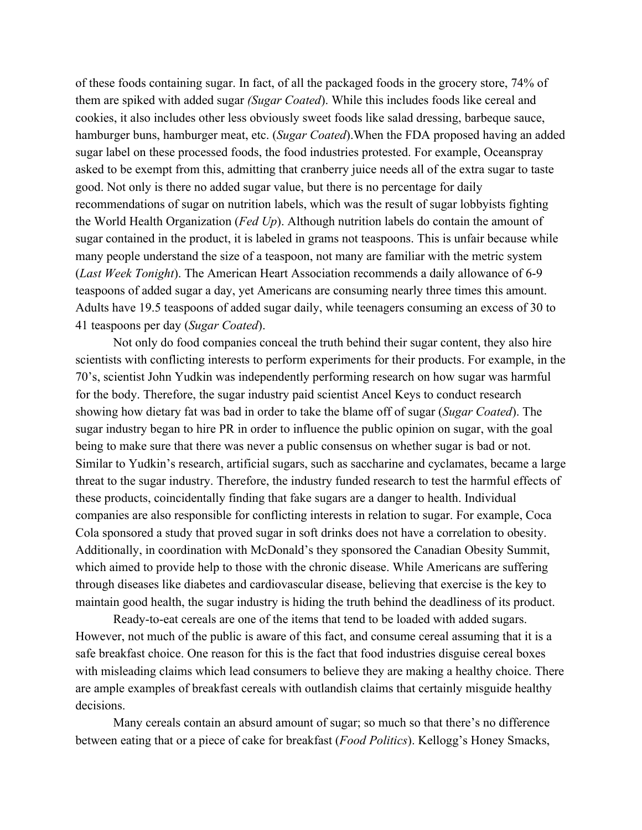of these foods containing sugar. In fact, of all the packaged foods in the grocery store, 74% of them are spiked with added sugar *(Sugar Coated*). While this includes foods like cereal and cookies, it also includes other less obviously sweet foods like salad dressing, barbeque sauce, hamburger buns, hamburger meat, etc. (*Sugar Coated*).When the FDA proposed having an added sugar label on these processed foods, the food industries protested. For example, Oceanspray asked to be exempt from this, admitting that cranberry juice needs all of the extra sugar to taste good. Not only is there no added sugar value, but there is no percentage for daily recommendations of sugar on nutrition labels, which was the result of sugar lobbyists fighting the World Health Organization (*Fed Up*). Although nutrition labels do contain the amount of sugar contained in the product, it is labeled in grams not teaspoons. This is unfair because while many people understand the size of a teaspoon, not many are familiar with the metric system (*Last Week Tonight*). The American Heart Association recommends a daily allowance of 6-9 teaspoons of added sugar a day, yet Americans are consuming nearly three times this amount. Adults have 19.5 teaspoons of added sugar daily, while teenagers consuming an excess of 30 to 41 teaspoons per day (*Sugar Coated*).

Not only do food companies conceal the truth behind their sugar content, they also hire scientists with conflicting interests to perform experiments for their products. For example, in the 70's, scientist John Yudkin was independently performing research on how sugar was harmful for the body. Therefore, the sugar industry paid scientist Ancel Keys to conduct research showing how dietary fat was bad in order to take the blame off of sugar (*Sugar Coated*). The sugar industry began to hire PR in order to influence the public opinion on sugar, with the goal being to make sure that there was never a public consensus on whether sugar is bad or not. Similar to Yudkin's research, artificial sugars, such as saccharine and cyclamates, became a large threat to the sugar industry. Therefore, the industry funded research to test the harmful effects of these products, coincidentally finding that fake sugars are a danger to health. Individual companies are also responsible for conflicting interests in relation to sugar. For example, Coca Cola sponsored a study that proved sugar in soft drinks does not have a correlation to obesity. Additionally, in coordination with McDonald's they sponsored the Canadian Obesity Summit, which aimed to provide help to those with the chronic disease. While Americans are suffering through diseases like diabetes and cardiovascular disease, believing that exercise is the key to maintain good health, the sugar industry is hiding the truth behind the deadliness of its product.

Ready-to-eat cereals are one of the items that tend to be loaded with added sugars. However, not much of the public is aware of this fact, and consume cereal assuming that it is a safe breakfast choice. One reason for this is the fact that food industries disguise cereal boxes with misleading claims which lead consumers to believe they are making a healthy choice. There are ample examples of breakfast cereals with outlandish claims that certainly misguide healthy decisions.

Many cereals contain an absurd amount of sugar; so much so that there's no difference between eating that or a piece of cake for breakfast (*Food Politics*). Kellogg's Honey Smacks,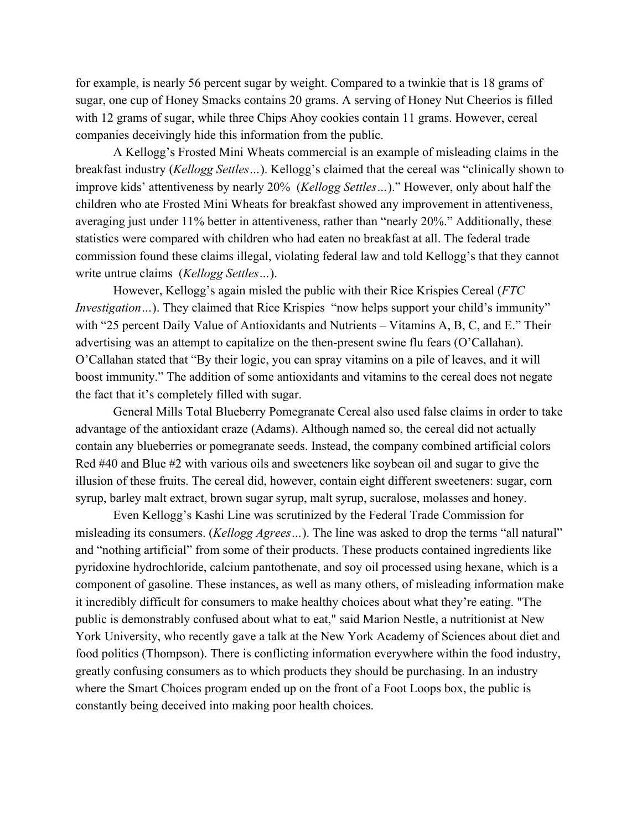for example, is nearly 56 percent sugar by weight. Compared to a twinkie that is 18 grams of sugar, one cup of Honey Smacks contains 20 grams. A serving of Honey Nut Cheerios is filled with 12 grams of sugar, while three Chips Ahoy cookies contain 11 grams. However, cereal companies deceivingly hide this information from the public.

A Kellogg's Frosted Mini Wheats commercial is an example of misleading claims in the breakfast industry (*Kellogg Settles…*). Kellogg's claimed that the cereal was "clinically shown to improve kids' attentiveness by nearly 20% (*Kellogg Settles…*)." However, only about half the children who ate Frosted Mini Wheats for breakfast showed any improvement in attentiveness, averaging just under 11% better in attentiveness, rather than "nearly 20%." Additionally, these statistics were compared with children who had eaten no breakfast at all. The federal trade commission found these claims illegal, violating federal law and told Kellogg's that they cannot write untrue claims (*Kellogg Settles…*).

However, Kellogg's again misled the public with their Rice Krispies Cereal (*FTC Investigation...*). They claimed that Rice Krispies "now helps support your child's immunity" with "25 percent Daily Value of Antioxidants and Nutrients – Vitamins A, B, C, and E." Their advertising was an attempt to capitalize on the then-present swine flu fears (O'Callahan). O'Callahan stated that "By their logic, you can spray vitamins on a pile of leaves, and it will boost immunity." The addition of some antioxidants and vitamins to the cereal does not negate the fact that it's completely filled with sugar.

General Mills Total Blueberry Pomegranate Cereal also used false claims in order to take advantage of the antioxidant craze (Adams). Although named so, the cereal did not actually contain any blueberries or pomegranate seeds. Instead, the company combined artificial colors Red #40 and Blue #2 with various oils and sweeteners like soybean oil and sugar to give the illusion of these fruits. The cereal did, however, contain eight different sweeteners: sugar, corn syrup, barley malt extract, brown sugar syrup, malt syrup, sucralose, molasses and honey.

Even Kellogg's Kashi Line was scrutinized by the Federal Trade Commission for misleading its consumers. (*Kellogg Agrees…*). The line was asked to drop the terms "all natural" and "nothing artificial" from some of their products. These products contained ingredients like pyridoxine hydrochloride, calcium pantothenate, and soy oil [processed using hexane,](http://www.epa.gov/ttn/atw/hlthef/hexane.html) which is a component of gasoline. These instances, as well as many others, of misleading information make it incredibly difficult for consumers to make healthy choices about what they're eating. "The public is demonstrably confused about what to eat," said Marion Nestle, a nutritionist at New York University, who recently gave a talk at the New York Academy of Sciences about diet and food politics (Thompson). There is conflicting information everywhere within the food industry, greatly confusing consumers as to which products they should be purchasing. In an industry where the Smart Choices program ended up on the front of a Foot Loops box, the public is constantly being deceived into making poor health choices.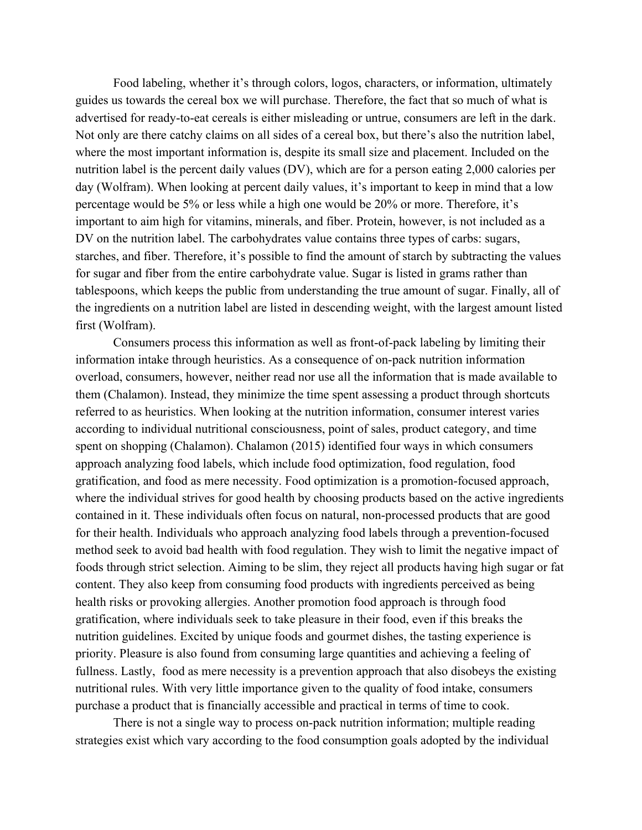Food labeling, whether it's through colors, logos, characters, or information, ultimately guides us towards the cereal box we will purchase. Therefore, the fact that so much of what is advertised for ready-to-eat cereals is either misleading or untrue, consumers are left in the dark. Not only are there catchy claims on all sides of a cereal box, but there's also the nutrition label, where the most important information is, despite its small size and placement. Included on the nutrition label is the percent daily values (DV), which are for a person eating 2,000 calories per day (Wolfram). When looking at percent daily values, it's important to keep in mind that a low percentage would be 5% or less while a high one would be 20% or more. Therefore, it's important to aim high for vitamins, minerals, and fiber. Protein, however, is not included as a DV on the nutrition label. The carbohydrates value contains three types of carbs: sugars, starches, and fiber. Therefore, it's possible to find the amount of starch by subtracting the values for sugar and fiber from the entire carbohydrate value. Sugar is listed in grams rather than tablespoons, which keeps the public from understanding the true amount of sugar. Finally, all of the ingredients on a nutrition label are listed in descending weight, with the largest amount listed first (Wolfram).

Consumers process this information as well as front-of-pack labeling by limiting their information intake through heuristics. As a consequence of on-pack nutrition information overload, consumers, however, neither read nor use all the information that is made available to them (Chalamon). Instead, they minimize the time spent assessing a product through shortcuts referred to as heuristics. When looking at the nutrition information, consumer interest varies according to individual nutritional consciousness, point of sales, product category, and time spent on shopping (Chalamon). Chalamon (2015) identified four ways in which consumers approach analyzing food labels, which include food optimization, food regulation, food gratification, and food as mere necessity. Food optimization is a promotion-focused approach, where the individual strives for good health by choosing products based on the active ingredients contained in it. These individuals often focus on natural, non-processed products that are good for their health. Individuals who approach analyzing food labels through a prevention-focused method seek to avoid bad health with food regulation. They wish to limit the negative impact of foods through strict selection. Aiming to be slim, they reject all products having high sugar or fat content. They also keep from consuming food products with ingredients perceived as being health risks or provoking allergies. Another promotion food approach is through food gratification, where individuals seek to take pleasure in their food, even if this breaks the nutrition guidelines. Excited by unique foods and gourmet dishes, the tasting experience is priority. Pleasure is also found from consuming large quantities and achieving a feeling of fullness. Lastly, food as mere necessity is a prevention approach that also disobeys the existing nutritional rules. With very little importance given to the quality of food intake, consumers purchase a product that is financially accessible and practical in terms of time to cook.

There is not a single way to process on-pack nutrition information; multiple reading strategies exist which vary according to the food consumption goals adopted by the individual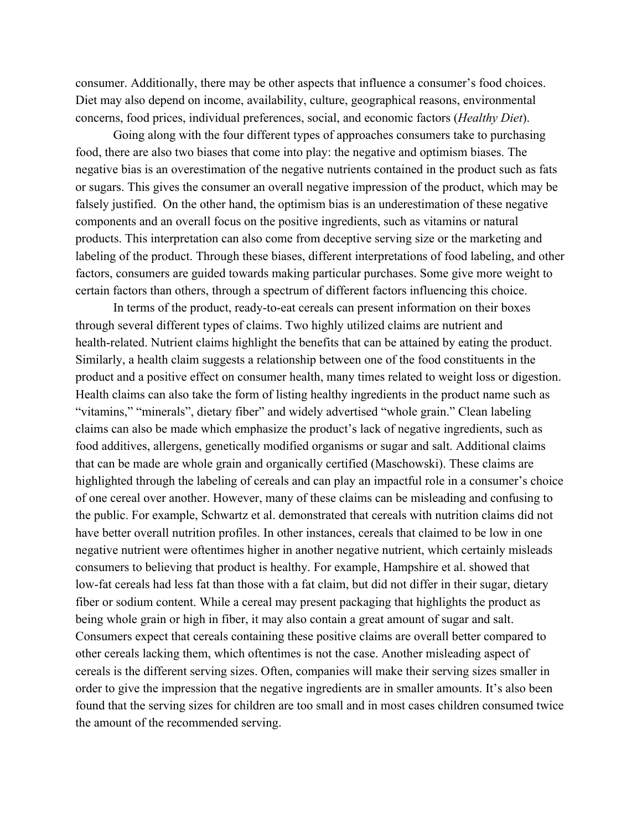consumer. Additionally, there may be other aspects that influence a consumer's food choices. Diet may also depend on income, availability, culture, geographical reasons, environmental concerns, food prices, individual preferences, social, and economic factors (*Healthy Diet*).

Going along with the four different types of approaches consumers take to purchasing food, there are also two biases that come into play: the negative and optimism biases. The negative bias is an overestimation of the negative nutrients contained in the product such as fats or sugars. This gives the consumer an overall negative impression of the product, which may be falsely justified. On the other hand, the optimism bias is an underestimation of these negative components and an overall focus on the positive ingredients, such as vitamins or natural products. This interpretation can also come from deceptive serving size or the marketing and labeling of the product. Through these biases, different interpretations of food labeling, and other factors, consumers are guided towards making particular purchases. Some give more weight to certain factors than others, through a spectrum of different factors influencing this choice.

In terms of the product, ready-to-eat cereals can present information on their boxes through several different types of claims. Two highly utilized claims are nutrient and health-related. Nutrient claims highlight the benefits that can be attained by eating the product. Similarly, a health claim suggests a relationship between one of the food constituents in the product and a positive effect on consumer health, many times related to weight loss or digestion. Health claims can also take the form of listing healthy ingredients in the product name such as "vitamins," "minerals", dietary fiber" and widely advertised "whole grain." Clean labeling claims can also be made which emphasize the product's lack of negative ingredients, such as food additives, allergens, genetically modified organisms or sugar and salt. Additional claims that can be made are whole grain and organically certified (Maschowski). These claims are highlighted through the labeling of cereals and can play an impactful role in a consumer's choice of one cereal over another. However, many of these claims can be misleading and confusing to the public. For example, Schwartz et al. demonstrated that cereals with nutrition claims did not have better overall nutrition profiles. In other instances, cereals that claimed to be low in one negative nutrient were oftentimes higher in another negative nutrient, which certainly misleads consumers to believing that product is healthy. For example, Hampshire et al. showed that low-fat cereals had less fat than those with a fat claim, but did not differ in their sugar, dietary fiber or sodium content. While a cereal may present packaging that highlights the product as being whole grain or high in fiber, it may also contain a great amount of sugar and salt. Consumers expect that cereals containing these positive claims are overall better compared to other cereals lacking them, which oftentimes is not the case. Another misleading aspect of cereals is the different serving sizes. Often, companies will make their serving sizes smaller in order to give the impression that the negative ingredients are in smaller amounts. It's also been found that the serving sizes for children are too small and in most cases children consumed twice the amount of the recommended serving.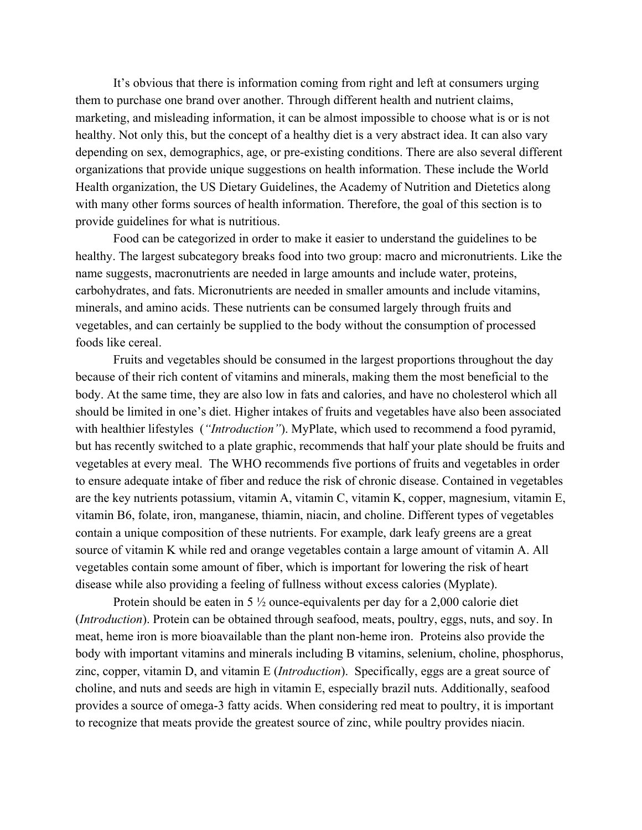It's obvious that there is information coming from right and left at consumers urging them to purchase one brand over another. Through different health and nutrient claims, marketing, and misleading information, it can be almost impossible to choose what is or is not healthy. Not only this, but the concept of a healthy diet is a very abstract idea. It can also vary depending on sex, demographics, age, or pre-existing conditions. There are also several different organizations that provide unique suggestions on health information. These include the World Health organization, the US Dietary Guidelines, the Academy of Nutrition and Dietetics along with many other forms sources of health information. Therefore, the goal of this section is to provide guidelines for what is nutritious.

Food can be categorized in order to make it easier to understand the guidelines to be healthy. The largest subcategory breaks food into two group: macro and micronutrients. Like the name suggests, macronutrients are needed in large amounts and include water, proteins, carbohydrates, and fats. Micronutrients are needed in smaller amounts and include vitamins, minerals, and amino acids. These nutrients can be consumed largely through fruits and vegetables, and can certainly be supplied to the body without the consumption of processed foods like cereal.

Fruits and vegetables should be consumed in the largest proportions throughout the day because of their rich content of vitamins and minerals, making them the most beneficial to the body. At the same time, they are also low in fats and calories, and have no cholesterol which all should be limited in one's diet. Higher intakes of fruits and vegetables have also been associated with healthier lifestyles (*"Introduction"*). MyPlate, which used to recommend a food pyramid, but has recently switched to a plate graphic, recommends that half your plate should be fruits and vegetables at every meal. The WHO recommends five portions of fruits and vegetables in order to ensure adequate intake of fiber and reduce the risk of chronic disease. Contained in vegetables are the key nutrients potassium, vitamin A, vitamin C, vitamin K, copper, magnesium, vitamin E, vitamin B6, folate, iron, manganese, thiamin, niacin, and choline. Different types of vegetables contain a unique composition of these nutrients. For example, dark leafy greens are a great source of vitamin K while red and orange vegetables contain a large amount of vitamin A. All vegetables contain some amount of fiber, which is important for lowering the risk of heart disease while also providing a feeling of fullness without excess calories (Myplate).

Protein should be eaten in 5 ½ ounce-equivalents per day for a 2,000 calorie diet (*Introduction*). Protein can be obtained through seafood, meats, poultry, eggs, nuts, and soy. In meat, heme iron is more bioavailable than the plant non-heme iron. Proteins also provide the body with important vitamins and minerals including B vitamins, selenium, choline, phosphorus, zinc, copper, vitamin D, and vitamin E (*Introduction*). Specifically, eggs are a great source of choline, and nuts and seeds are high in vitamin E, especially brazil nuts. Additionally, seafood provides a source of omega-3 fatty acids. When considering red meat to poultry, it is important to recognize that meats provide the greatest source of zinc, while poultry provides niacin.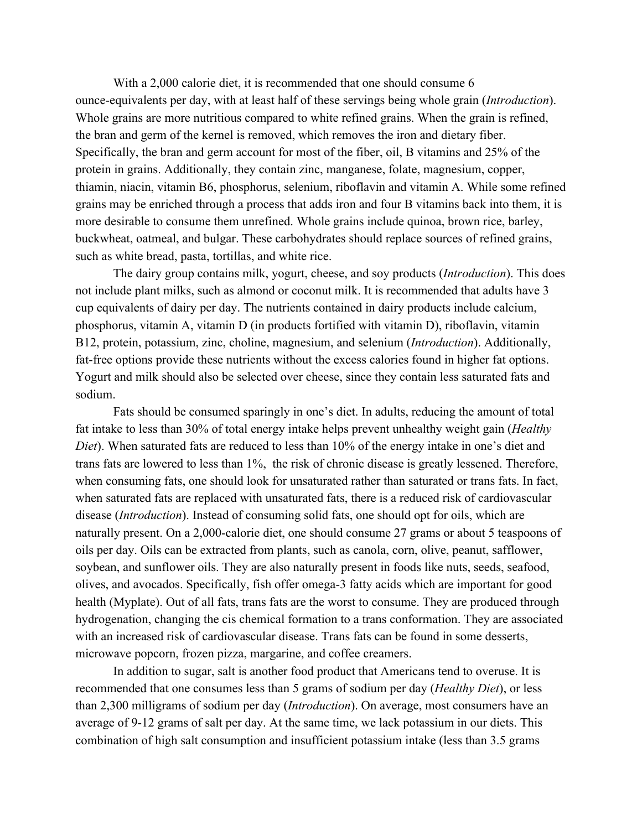With a 2,000 calorie diet, it is recommended that one should consume 6 ounce-equivalents per day, with at least half of these servings being whole grain (*Introduction*). Whole grains are more nutritious compared to white refined grains. When the grain is refined, the bran and germ of the kernel is removed, which removes the iron and dietary fiber. Specifically, the bran and germ account for most of the fiber, oil, B vitamins and 25% of the protein in grains. Additionally, they contain zinc, manganese, folate, magnesium, copper, thiamin, niacin, vitamin B6, phosphorus, selenium, riboflavin and vitamin A. While some refined grains may be enriched through a process that adds iron and four B vitamins back into them, it is more desirable to consume them unrefined. Whole grains include quinoa, brown rice, barley, buckwheat, oatmeal, and bulgar. These carbohydrates should replace sources of refined grains, such as white bread, pasta, tortillas, and white rice.

The dairy group contains milk, yogurt, cheese, and soy products (*Introduction*). This does not include plant milks, such as almond or coconut milk. It is recommended that adults have 3 cup equivalents of dairy per day. The nutrients contained in dairy products include calcium, phosphorus, vitamin A, vitamin D (in products fortified with vitamin D), riboflavin, vitamin B12, protein, potassium, zinc, choline, magnesium, and selenium (*Introduction*). Additionally, fat-free options provide these nutrients without the excess calories found in higher fat options. Yogurt and milk should also be selected over cheese, since they contain less saturated fats and sodium.

Fats should be consumed sparingly in one's diet. In adults, reducing the amount of total fat intake to less than 30% of total energy intake helps prevent unhealthy weight gain (*Healthy Diet*). When saturated fats are reduced to less than 10% of the energy intake in one's diet and trans fats are lowered to less than 1%, the risk of chronic disease is greatly lessened. Therefore, when consuming fats, one should look for unsaturated rather than saturated or trans fats. In fact, when saturated fats are replaced with unsaturated fats, there is a reduced risk of cardiovascular disease (*Introduction*). Instead of consuming solid fats, one should opt for oils, which are naturally present. On a 2,000-calorie diet, one should consume 27 grams or about 5 teaspoons of oils per day. Oils can be extracted from plants, such as canola, corn, olive, peanut, safflower, soybean, and sunflower oils. They are also naturally present in foods like nuts, seeds, seafood, olives, and avocados. Specifically, fish offer omega-3 fatty acids which are important for good health (Myplate). Out of all fats, trans fats are the worst to consume. They are produced through hydrogenation, changing the cis chemical formation to a trans conformation. They are associated with an increased risk of cardiovascular disease. Trans fats can be found in some desserts, microwave popcorn, frozen pizza, margarine, and coffee creamers.

In addition to sugar, salt is another food product that Americans tend to overuse. It is recommended that one consumes less than 5 grams of sodium per day (*Healthy Diet*), or less than 2,300 milligrams of sodium per day (*Introduction*). On average, most consumers have an average of 9-12 grams of salt per day. At the same time, we lack potassium in our diets. This combination of high salt consumption and insufficient potassium intake (less than 3.5 grams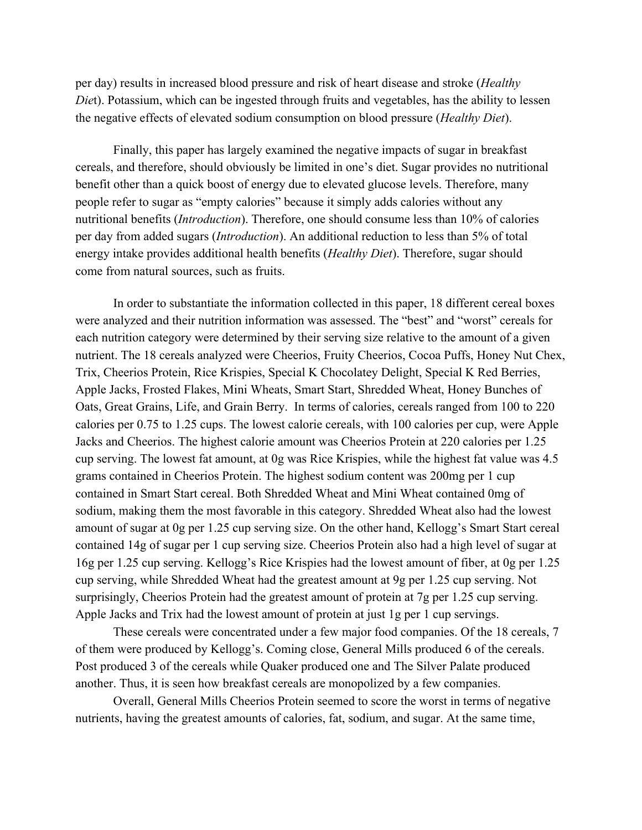per day) results in increased blood pressure and risk of heart disease and stroke (*Healthy Diet*). Potassium, which can be ingested through fruits and vegetables, has the ability to lessen the negative effects of elevated sodium consumption on blood pressure (*Healthy Diet*).

Finally, this paper has largely examined the negative impacts of sugar in breakfast cereals, and therefore, should obviously be limited in one's diet. Sugar provides no nutritional benefit other than a quick boost of energy due to elevated glucose levels. Therefore, many people refer to sugar as "empty calories" because it simply adds calories without any nutritional benefits (*Introduction*). Therefore, one should consume less than 10% of calories per day from added sugars (*Introduction*). An additional reduction to less than 5% of total energy intake provides additional health benefits (*Healthy Diet*). Therefore, sugar should come from natural sources, such as fruits.

In order to substantiate the information collected in this paper, 18 different cereal boxes were analyzed and their nutrition information was assessed. The "best" and "worst" cereals for each nutrition category were determined by their serving size relative to the amount of a given nutrient. The 18 cereals analyzed were Cheerios, Fruity Cheerios, Cocoa Puffs, Honey Nut Chex, Trix, Cheerios Protein, Rice Krispies, Special K Chocolatey Delight, Special K Red Berries, Apple Jacks, Frosted Flakes, Mini Wheats, Smart Start, Shredded Wheat, Honey Bunches of Oats, Great Grains, Life, and Grain Berry. In terms of calories, cereals ranged from 100 to 220 calories per 0.75 to 1.25 cups. The lowest calorie cereals, with 100 calories per cup, were Apple Jacks and Cheerios. The highest calorie amount was Cheerios Protein at 220 calories per 1.25 cup serving. The lowest fat amount, at 0g was Rice Krispies, while the highest fat value was 4.5 grams contained in Cheerios Protein. The highest sodium content was 200mg per 1 cup contained in Smart Start cereal. Both Shredded Wheat and Mini Wheat contained 0mg of sodium, making them the most favorable in this category. Shredded Wheat also had the lowest amount of sugar at 0g per 1.25 cup serving size. On the other hand, Kellogg's Smart Start cereal contained 14g of sugar per 1 cup serving size. Cheerios Protein also had a high level of sugar at 16g per 1.25 cup serving. Kellogg's Rice Krispies had the lowest amount of fiber, at 0g per 1.25 cup serving, while Shredded Wheat had the greatest amount at 9g per 1.25 cup serving. Not surprisingly, Cheerios Protein had the greatest amount of protein at 7g per 1.25 cup serving. Apple Jacks and Trix had the lowest amount of protein at just 1g per 1 cup servings.

These cereals were concentrated under a few major food companies. Of the 18 cereals, 7 of them were produced by Kellogg's. Coming close, General Mills produced 6 of the cereals. Post produced 3 of the cereals while Quaker produced one and The Silver Palate produced another. Thus, it is seen how breakfast cereals are monopolized by a few companies.

Overall, General Mills Cheerios Protein seemed to score the worst in terms of negative nutrients, having the greatest amounts of calories, fat, sodium, and sugar. At the same time,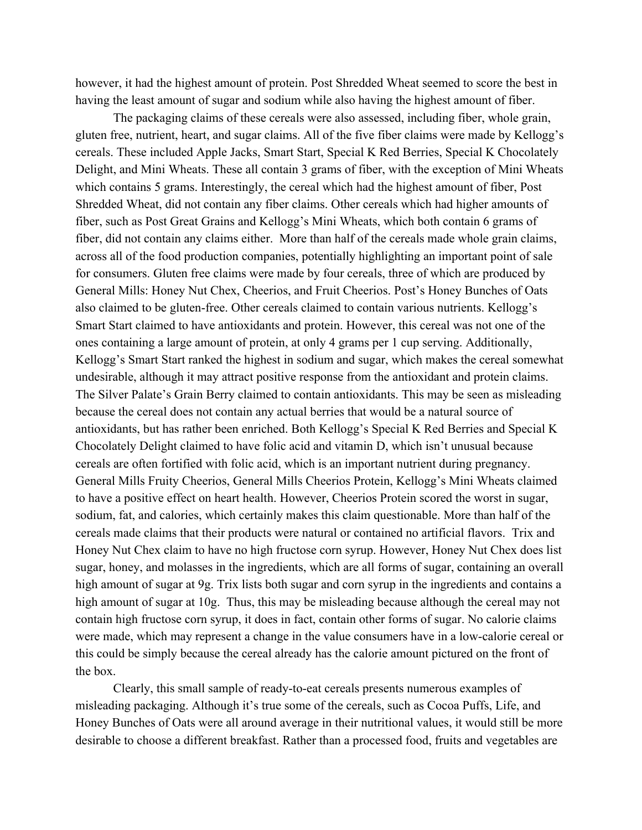however, it had the highest amount of protein. Post Shredded Wheat seemed to score the best in having the least amount of sugar and sodium while also having the highest amount of fiber.

The packaging claims of these cereals were also assessed, including fiber, whole grain, gluten free, nutrient, heart, and sugar claims. All of the five fiber claims were made by Kellogg's cereals. These included Apple Jacks, Smart Start, Special K Red Berries, Special K Chocolately Delight, and Mini Wheats. These all contain 3 grams of fiber, with the exception of Mini Wheats which contains 5 grams. Interestingly, the cereal which had the highest amount of fiber, Post Shredded Wheat, did not contain any fiber claims. Other cereals which had higher amounts of fiber, such as Post Great Grains and Kellogg's Mini Wheats, which both contain 6 grams of fiber, did not contain any claims either. More than half of the cereals made whole grain claims, across all of the food production companies, potentially highlighting an important point of sale for consumers. Gluten free claims were made by four cereals, three of which are produced by General Mills: Honey Nut Chex, Cheerios, and Fruit Cheerios. Post's Honey Bunches of Oats also claimed to be gluten-free. Other cereals claimed to contain various nutrients. Kellogg's Smart Start claimed to have antioxidants and protein. However, this cereal was not one of the ones containing a large amount of protein, at only 4 grams per 1 cup serving. Additionally, Kellogg's Smart Start ranked the highest in sodium and sugar, which makes the cereal somewhat undesirable, although it may attract positive response from the antioxidant and protein claims. The Silver Palate's Grain Berry claimed to contain antioxidants. This may be seen as misleading because the cereal does not contain any actual berries that would be a natural source of antioxidants, but has rather been enriched. Both Kellogg's Special K Red Berries and Special K Chocolately Delight claimed to have folic acid and vitamin D, which isn't unusual because cereals are often fortified with folic acid, which is an important nutrient during pregnancy. General Mills Fruity Cheerios, General Mills Cheerios Protein, Kellogg's Mini Wheats claimed to have a positive effect on heart health. However, Cheerios Protein scored the worst in sugar, sodium, fat, and calories, which certainly makes this claim questionable. More than half of the cereals made claims that their products were natural or contained no artificial flavors. Trix and Honey Nut Chex claim to have no high fructose corn syrup. However, Honey Nut Chex does list sugar, honey, and molasses in the ingredients, which are all forms of sugar, containing an overall high amount of sugar at 9g. Trix lists both sugar and corn syrup in the ingredients and contains a high amount of sugar at 10g. Thus, this may be misleading because although the cereal may not contain high fructose corn syrup, it does in fact, contain other forms of sugar. No calorie claims were made, which may represent a change in the value consumers have in a low-calorie cereal or this could be simply because the cereal already has the calorie amount pictured on the front of the box.

Clearly, this small sample of ready-to-eat cereals presents numerous examples of misleading packaging. Although it's true some of the cereals, such as Cocoa Puffs, Life, and Honey Bunches of Oats were all around average in their nutritional values, it would still be more desirable to choose a different breakfast. Rather than a processed food, fruits and vegetables are